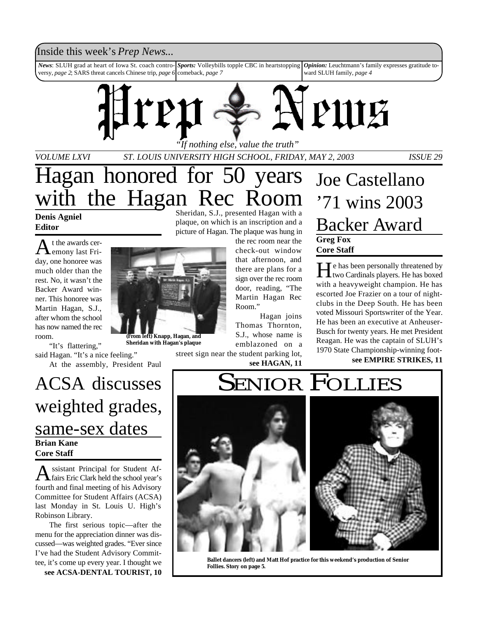### Inside this week's *Prep News*...

*News*: SLUH grad at heart of Iowa St. coach controversy, *page 2*; SARS threat cancels Chinese trip, *page 6 Sports:* Volleybills topple CBC in heartstopping comeback, *page 7 Opinion:* Leuchtmann's family expresses gratitude toward SLUH family, *page 4*



*VOLUME LXVI ST. LOUIS UNIVERSITY HIGH SCHOOL, FRIDAY, MAY 2, 2003 ISSUE 29*

# Hagan honored for 50 years the Hagan Rec Room

**Denis Agniel Editor**

A t the awards ceremony last Friday, one honoree was much older than the rest. No, it wasn't the Backer Award winner. This honoree was Martin Hagan, S.J., after whom the school has now named the rec room.

"It's flattering,"

said Hagan. "It's a nice feeling." At the assembly, President Paul

## **Brian Kane Core Staff** ACSA discusses weighted grades, same-sex dates

A ssistant Principal for Student Affairs Eric Clark held the school year's ssistant Principal for Student Affourth and final meeting of his Advisory Committee for Student Affairs (ACSA) last Monday in St. Louis U. High's Robinson Library.

The first serious topic—after the menu for the appreciation dinner was discussed—was weighted grades. "Ever since I've had the Student Advisory Committee, it's come up every year. I thought we **see ACSA-DENTAL TOURIST, 10** Sheridan, S.J., presented Hagan with a plaque, on which is an inscription and a picture of Hagan. The plaque was hung in

> the rec room near the check-out window that afternoon, and there are plans for a sign over the rec room door, reading, "The Martin Hagan Rec Room."

Hagan joins Thomas Thornton, S.J., whose name is emblazoned on a

street sign near the student parking lot, **see HAGAN, 11**



He has been personally threatened by<br>two Cardinals players. He has boxed  $\mathbf{\Gamma}$  **T** e has been personally threatened by with a heavyweight champion. He has escorted Joe Frazier on a tour of nightclubs in the Deep South. He has been voted Missouri Sportswriter of the Year. He has been an executive at Anheuser-Busch for twenty years. He met President Reagan. He was the captain of SLUH's 1970 State Championship-winning foot-

**see EMPIRE STRIKES, 11**

# **SENIOR FOLLIES**



**Ballet dancers (left) and Matt Hof practice for this weekend's production of Senior Follies. Story on page 5.**



**Sheridan with Hagan's plaque**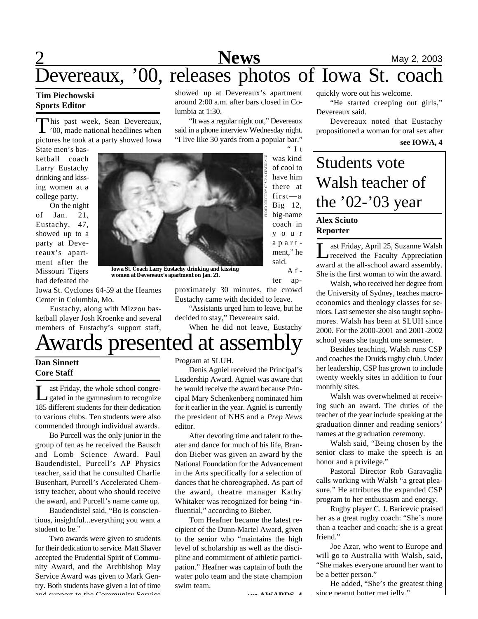

around 2:00 a.m. after bars closed in Co-

"It was a regular night out," Devereaux said in a phone interview Wednesday night. "I live like 30 yards from a popular bar."

 $" I t$ 

 $A f$ ter ap-

### **Tim Piechowski Sports Editor**

This past week, Sean Devereaux,<br>'00, made national headlines when his past week, Sean Devereaux, pictures he took at a party showed Iowa

State men's basketball coach Larry Eustachy drinking and kissing women at a college party.

On the night of Jan. 21, Eustachy, 47, showed up to a party at Devereaux's apartment after the Missouri Tigers had defeated the



lumbia at 1:30.

**Iowa St. Coach Larry Eustachy drinking and kissing women at Devereaux's apartment on Jan. 21.**

Iowa St. Cyclones 64-59 at the Hearnes Center in Columbia, Mo.

Eustachy, along with Mizzou basketball player Josh Kroenke and several members of Eustachy's support staff,

# Awards presented at assembly

### **Dan Sinnett Core Staff**

Let Friday, the whole school congre-<br>gated in the gymnasium to recognize ast Friday, the whole school congre-185 different students for their dedication to various clubs. Ten students were also commended through individual awards.

Bo Purcell was the only junior in the group of ten as he received the Bausch and Lomb Science Award. Paul Baudendistel, Purcell's AP Physics teacher, said that he consulted Charlie Busenhart, Purcell's Accelerated Chemistry teacher, about who should receive the award, and Purcell's name came up.

Baudendistel said, "Bo is conscientious, insightful...everything you want a student to be."

Two awards were given to students for their dedication to service. Matt Shaver accepted the Prudential Spirit of Community Award, and the Archbishop May Service Award was given to Mark Gentry. Both students have given a lot of time and support to the Community Comrise

Program at SLUH.

Denis Agniel received the Principal's Leadership Award. Agniel was aware that he would receive the award because Principal Mary Schenkenberg nominated him for it earlier in the year. Agniel is currently the president of NHS and a *Prep News* editor.

proximately 30 minutes, the crowd Eustachy came with decided to leave. "Assistants urged him to leave, but he

When he did not leave, Eustachy

decided to stay," Devereaux said.

After devoting time and talent to theater and dance for much of his life, Brandon Bieber was given an award by the National Foundation for the Advancement in the Arts specifically for a selection of dances that he choreographed. As part of the award, theatre manager Kathy Whitaker was recognized for being "influential," according to Bieber.

Tom Heafner became the latest recipient of the Dunn-Martel Award, given to the senior who "maintains the high level of scholarship as well as the discipline and commitment of athletic participation." Heafner was captain of both the water polo team and the state champion swim team.

**see AWARDS, 4**

quickly wore out his welcome.

"He started creeping out girls," Devereaux said.

Devereaux noted that Eustachy propositioned a woman for oral sex after

#### **see IOWA, 4**

# Students vote Walsh teacher of the '02-'03 year

### **Alex Sciuto Reporter**

Last Friday, April 25, Suzanne Walsh<br>
received the Faculty Appreciation<br>
award at the all-school award assembly. ast Friday, April 25, Suzanne Walsh received the Faculty Appreciation She is the first woman to win the award.

Walsh, who received her degree from the University of Sydney, teaches macroeconomics and theology classes for seniors. Last semester she also taught sophomores. Walsh has been at SLUH since 2000. For the 2000-2001 and 2001-2002 school years she taught one semester.

Besides teaching, Walsh runs CSP and coaches the Druids rugby club. Under her leadership, CSP has grown to include twenty weekly sites in addition to four monthly sites.

Walsh was overwhelmed at receiving such an award. The duties of the teacher of the year include speaking at the graduation dinner and reading seniors' names at the graduation ceremony.

Walsh said, "Being chosen by the senior class to make the speech is an honor and a privilege."

Pastoral Director Rob Garavaglia calls working with Walsh "a great pleasure." He attributes the expanded CSP program to her enthusiasm and energy.

Rugby player C. J. Baricevic praised her as a great rugby coach: "She's more than a teacher and coach; she is a great friend."

Joe Azar, who went to Europe and will go to Australia with Walsh, said, "She makes everyone around her want to be a better person."

He added, "She's the greatest thing since peanut butter met jelly."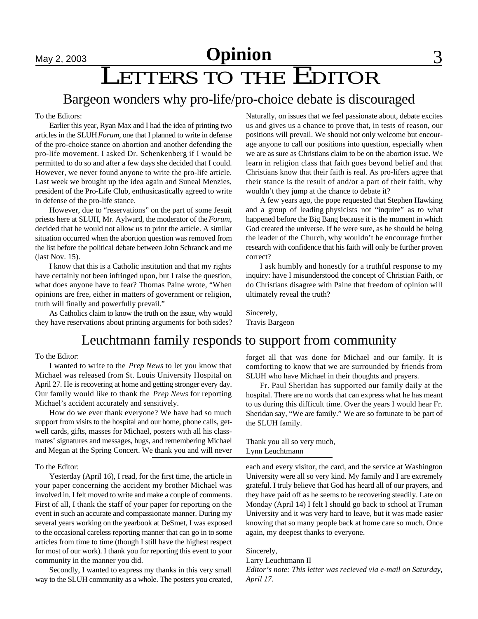# **May 2, 2003 Opinion** 3

# LETTERS TO THE EDITOR

## Bargeon wonders why pro-life/pro-choice debate is discouraged

### To the Editors:

Earlier this year, Ryan Max and I had the idea of printing two articles in the SLUH *Forum*, one that I planned to write in defense of the pro-choice stance on abortion and another defending the pro-life movement. I asked Dr. Schenkenberg if I would be permitted to do so and after a few days she decided that I could. However, we never found anyone to write the pro-life article. Last week we brought up the idea again and Suneal Menzies, president of the Pro-Life Club, enthusicastically agreed to write in defense of the pro-life stance.

However, due to "reservations" on the part of some Jesuit priests here at SLUH, Mr. Aylward, the moderator of the *Forum*, decided that he would not allow us to print the article. A similar situation occurred when the abortion question was removed from the list before the political debate between John Schranck and me (last Nov. 15).

I know that this is a Catholic institution and that my rights have certainly not been infringed upon, but I raise the question, what does anyone have to fear? Thomas Paine wrote, "When opinions are free, either in matters of government or religion, truth will finally and powerfully prevail."

As Catholics claim to know the truth on the issue, why would they have reservations about printing arguments for both sides?

### Naturally, on issues that we feel passionate about, debate excites us and gives us a chance to prove that, in tests of reason, our positions will prevail. We should not only welcome but encourage anyone to call our positions into question, especially when we are as sure as Christians claim to be on the abortion issue. We learn in religion class that faith goes beyond belief and that Christians know that their faith is real. As pro-lifers agree that their stance is the result of and/or a part of their faith, why wouldn't they jump at the chance to debate it?

A few years ago, the pope requested that Stephen Hawking and a group of leading physicists not "inquire" as to what happened before the Big Bang because it is the moment in which God created the universe. If he were sure, as he should be being the leader of the Church, why wouldn't he encourage further research with confidence that his faith will only be further proven correct?

I ask humbly and honestly for a truthful response to my inquiry: have I misunderstood the concept of Christian Faith, or do Christians disagree with Paine that freedom of opinion will ultimately reveal the truth?

Sincerely, Travis Bargeon

### Leuchtmann family responds to support from community

### To the Editor:

I wanted to write to the *Prep News* to let you know that Michael was released from St. Louis University Hospital on April 27. He is recovering at home and getting stronger every day. Our family would like to thank the *Prep News* for reporting Michael's accident accurately and sensitively.

How do we ever thank everyone? We have had so much support from visits to the hospital and our home, phone calls, getwell cards, gifts, masses for Michael, posters with all his classmates' signatures and messages, hugs, and remembering Michael and Megan at the Spring Concert. We thank you and will never

### To the Editor:

Yesterday (April 16), I read, for the first time, the article in your paper concerning the accident my brother Michael was involved in. I felt moved to write and make a couple of comments. First of all, I thank the staff of your paper for reporting on the event in such an accurate and compassionate manner. During my several years working on the yearbook at DeSmet, I was exposed to the occasional careless reporting manner that can go in to some articles from time to time (though I still have the highest respect for most of our work). I thank you for reporting this event to your community in the manner you did.

Secondly, I wanted to express my thanks in this very small way to the SLUH community as a whole. The posters you created, forget all that was done for Michael and our family. It is comforting to know that we are surrounded by friends from SLUH who have Michael in their thoughts and prayers.

Fr. Paul Sheridan has supported our family daily at the hospital. There are no words that can express what he has meant to us during this difficult time. Over the years I would hear Fr. Sheridan say, "We are family." We are so fortunate to be part of the SLUH family.

Thank you all so very much, Lynn Leuchtmann

each and every visitor, the card, and the service at Washington University were all so very kind. My family and I are extremely grateful. I truly believe that God has heard all of our prayers, and they have paid off as he seems to be recovering steadily. Late on Monday (April 14) I felt I should go back to school at Truman University and it was very hard to leave, but it was made easier knowing that so many people back at home care so much. Once again, my deepest thanks to everyone.

Sincerely,

Larry Leuchtmann II

*Editor's note: This letter was recieved via e-mail on Saturday, April 17.*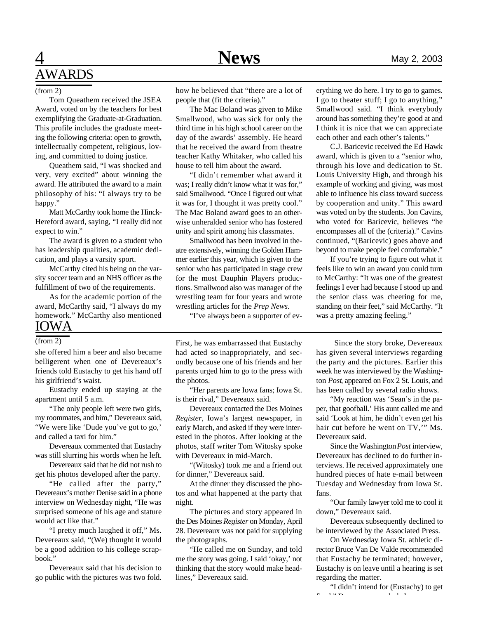# **4** Mews May 2, 2003 AWARDS

### (from 2)

Tom Queathem received the JSEA Award, voted on by the teachers for best exemplifying the Graduate-at-Graduation. This profile includes the graduate meeting the following criteria: open to growth, intellectually competent, religious, loving, and committed to doing justice.

Queathem said, "I was shocked and very, very excited" about winning the award. He attributed the award to a main philosophy of his: "I always try to be happy."

Matt McCarthy took home the Hinck-Hereford award, saying, "I really did not expect to win."

The award is given to a student who has leadership qualities, academic dedication, and plays a varsity sport.

McCarthy cited his being on the varsity soccer team and an NHS officer as the fulfillment of two of the requirements.

As for the academic portion of the award, McCarthy said, "I always do my homework." McCarthy also mentioned IOWA

### (from 2)

she offered him a beer and also became belligerent when one of Devereaux's friends told Eustachy to get his hand off his girlfriend's waist.

Eustachy ended up staying at the apartment until 5 a.m.

"The only people left were two girls, my roommates, and him," Devereaux said, "We were like 'Dude you've got to go,' and called a taxi for him."

Devereaux commented that Eustachy was still slurring his words when he left.

Devereaux said that he did not rush to get his photos developed after the party.

"He called after the party," Devereaux's mother Denise said in a phone interview on Wednesday night, "He was surprised someone of his age and stature would act like that."

"I pretty much laughed it off," Ms. Devereaux said, "(We) thought it would be a good addition to his college scrapbook."

Devereaux said that his decision to go public with the pictures was two fold.

how he believed that "there are a lot of people that (fit the criteria)."

The Mac Boland was given to Mike Smallwood, who was sick for only the third time in his high school career on the day of the awards' assembly. He heard that he received the award from theatre teacher Kathy Whitaker, who called his house to tell him about the award.

"I didn't remember what award it was; I really didn't know what it was for," said Smallwood. "Once I figured out what it was for, I thought it was pretty cool." The Mac Boland award goes to an otherwise unheralded senior who has fostered unity and spirit among his classmates.

Smallwood has been involved in theatre extensively, winning the Golden Hammer earlier this year, which is given to the senior who has participated in stage crew for the most Dauphin Players productions. Smallwood also was manager of the wrestling team for four years and wrote wrestling articles for the *Prep News*.

"I've always been a supporter of ev-

First, he was embarrassed that Eustachy had acted so inappropriately, and secondly because one of his friends and her parents urged him to go to the press with the photos.

"Her parents are Iowa fans; Iowa St. is their rival," Devereaux said.

Devereaux contacted the Des Moines *Register*, Iowa's largest newspaper, in early March, and asked if they were interested in the photos. After looking at the photos, staff writer Tom Witosky spoke with Devereaux in mid-March.

"(Witosky) took me and a friend out for dinner," Devereaux said.

At the dinner they discussed the photos and what happened at the party that night.

The pictures and story appeared in the Des Moines *Register* on Monday, April 28. Devereaux was not paid for supplying the photographs.

"He called me on Sunday, and told me the story was going. I said 'okay,' not thinking that the story would make headlines," Devereaux said.

erything we do here. I try to go to games. I go to theater stuff; I go to anything," Smallwood said. "I think everybody around has something they're good at and I think it is nice that we can appreciate each other and each other's talents."

C.J. Baricevic received the Ed Hawk award, which is given to a "senior who, through his love and dedication to St. Louis University High, and through his example of working and giving, was most able to influence his class toward success by cooperation and unity." This award was voted on by the students. Jon Cavins, who voted for Baricevic, believes "he encompasses all of the (criteria)." Cavins continued, "(Baricevic) goes above and beyond to make people feel comfortable."

If you're trying to figure out what it feels like to win an award you could turn to McCarthy: "It was one of the greatest feelings I ever had because I stood up and the senior class was cheering for me, standing on their feet," said McCarthy. "It was a pretty amazing feeling."

 Since the story broke, Devereaux has given several interviews regarding the party and the pictures. Earlier this week he was interviewed by the Washington *Post*, appeared on Fox 2 St. Louis, and has been called by several radio shows.

"My reaction was 'Sean's in the paper, that goofball.' His aunt called me and said 'Look at him, he didn't even get his hair cut before he went on TV,'" Ms. Devereaux said.

Since the Washington *Post* interview, Devereaux has declined to do further interviews. He received approximately one hundred pieces of hate e-mail between Tuesday and Wednesday from Iowa St. fans.

"Our family lawyer told me to cool it down," Devereaux said.

Devereaux subsequently declined to be interviewed by the Associated Press.

On Wednesday Iowa St. athletic director Bruce Van De Valde recommended that Eustachy be terminated; however, Eustachy is on leave until a hearing is set regarding the matter.

"I didn't intend for (Eustachy) to get  $\overline{c}$  deventured. The conclusion of  $\overline{c}$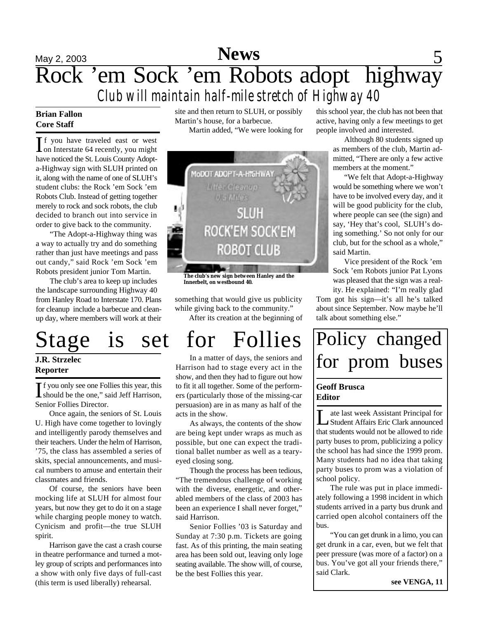# May 2, 2003 **News** 5 Rock 'em Sock 'em Robots adopt highway *Club will maintain half-mile stretch of Highway 40*

### **Brian Fallon Core Staff**

If you have traveled east or west<br>on Interstate 64 recently, you might f you have traveled east or west have noticed the St. Louis County Adopta-Highway sign with SLUH printed on it, along with the name of one of SLUH's student clubs: the Rock 'em Sock 'em Robots Club. Instead of getting together merely to rock and sock robots, the club decided to branch out into service in order to give back to the community.

"The Adopt-a-Highway thing was a way to actually try and do something rather than just have meetings and pass out candy," said Rock 'em Sock 'em Robots president junior Tom Martin.

The club's area to keep up includes the landscape surrounding Highway 40 from Hanley Road to Interstate 170. Plans for cleanup include a barbecue and cleanup day, where members will work at their

# Stage is set for Follies

### **J.R. Strzelec Reporter**

If you only see one Follies this year, this<br>should be the one," said Jeff Harrison, should be the one," said Jeff Harrison, Senior Follies Director.

Once again, the seniors of St. Louis U. High have come together to lovingly and intelligently parody themselves and their teachers. Under the helm of Harrison, '75, the class has assembled a series of skits, special announcements, and musical numbers to amuse and entertain their classmates and friends.

Of course, the seniors have been mocking life at SLUH for almost four years, but now they get to do it on a stage while charging people money to watch. Cynicism and profit—the true SLUH spirit.

Harrison gave the cast a crash course in theatre performance and turned a motley group of scripts and performances into a show with only five days of full-cast (this term is used liberally) rehearsal.

site and then return to SLUH, or possibly Martin's house, for a barbecue. Martin added, "We were looking for



**The club's new sign between Hanley and the Innerbelt, on westbound 40.**

something that would give us publicity while giving back to the community."

After its creation at the beginning of

In a matter of days, the seniors and Harrison had to stage every act in the show, and then they had to figure out how to fit it all together. Some of the performers (particularly those of the missing-car persuasion) are in as many as half of the acts in the show.

As always, the contents of the show are being kept under wraps as much as possible, but one can expect the traditional ballet number as well as a tearyeyed closing song.

Though the process has been tedious, "The tremendous challenge of working with the diverse, energetic, and otherabled members of the class of 2003 has been an experience I shall never forget," said Harrison.

Senior Follies '03 is Saturday and Sunday at 7:30 p.m. Tickets are going fast. As of this printing, the main seating area has been sold out, leaving only loge seating available. The show will, of course, be the best Follies this year.

this school year, the club has not been that active, having only a few meetings to get people involved and interested.

> Although 80 students signed up as members of the club, Martin admitted, "There are only a few active members at the moment."

> "We felt that Adopt-a-Highway would be something where we won't have to be involved every day, and it will be good publicity for the club, where people can see (the sign) and say, 'Hey that's cool, SLUH's doing something.' So not only for our club, but for the school as a whole," said Martin.

> Vice president of the Rock 'em Sock 'em Robots junior Pat Lyons was pleased that the sign was a reality. He explained: "I'm really glad

Tom got his sign—it's all he's talked about since September. Now maybe he'll talk about something else."

# Policy changed for prom buses

### **Geoff Brusca Editor**

Le last week Assistant Principal for<br>Student Affairs Eric Clark announced ate last week Assistant Principal for that students would not be allowed to ride party buses to prom, publicizing a policy the school has had since the 1999 prom. Many students had no idea that taking party buses to prom was a violation of school policy.

The rule was put in place immediately following a 1998 incident in which students arrived in a party bus drunk and carried open alcohol containers off the bus.

"You can get drunk in a limo, you can get drunk in a car, even, but we felt that peer pressure (was more of a factor) on a bus. You've got all your friends there," said Clark.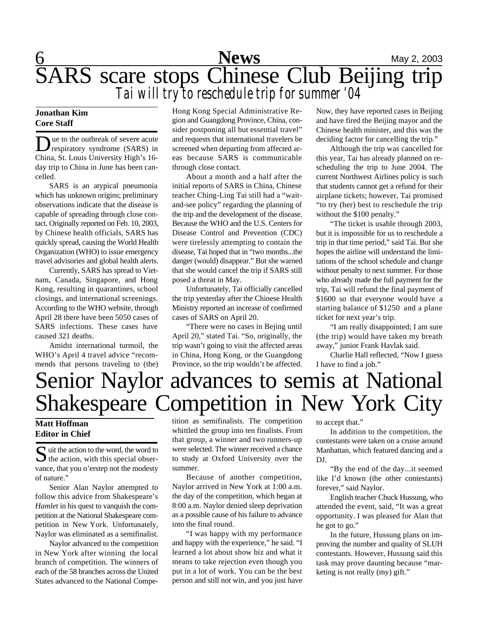$6$  Mews May 2, 2003 SARS scare stops Chinese Club Beijing trip *Tai will try to reschedule trip for summer '04*

### **Jonathan Kim Core Staff**

Due to the outbreak of severe acute<br>
respiratory syndrome (SARS) in<br>
China, St. Louis University High's 16ue to the outbreak of severe acute respiratory syndrome (SARS) in day trip to China in June has been cancelled.

SARS is an atypical pneumonia which has unknown origins; preliminary observations indicate that the disease is capable of spreading through close contact. Originally reported on Feb. 10, 2003, by Chinese health officials, SARS has quickly spread, causing the World Health Organization (WHO) to issue emergency travel advisories and global health alerts.

Currently, SARS has spread to Vietnam, Canada, Singapore, and Hong Kong, resulting in quarantines, school closings, and international screenings. According to the WHO website, through April 28 there have been 5050 cases of SARS infections. These cases have caused 321 deaths.

Amidst international turmoil, the WHO's April 4 travel advice "recommends that persons traveling to (the) Hong Kong Special Administrative Region and Guangdong Province, China, consider postponing all but essential travel" and requests that international travelers be screened when departing from affected areas because SARS is communicable through close contact.

About a month and a half after the initial reports of SARS in China, Chinese teacher Ching-Ling Tai still had a "waitand-see policy" regarding the planning of the trip and the development of the disease. Because the WHO and the U.S. Centers for Disease Control and Prevention (CDC) were tirelessly attempting to contain the disease, Tai hoped that in "two months...the danger (would) disappear." But she warned that she would cancel the trip if SARS still posed a threat in May.

Unfortunately, Tai officially cancelled the trip yesterday after the Chinese Health Ministry reported an increase of confirmed cases of SARS on April 20.

"There were no cases in Bejing until April 20," stated Tai. "So, originally, the trip wasn't going to visit the affected areas in China, Hong Kong, or the Guangdong Province, so the trip wouldn't be affected.

Now, they have reported cases in Beijing and have fired the Beijing mayor and the Chinese health minister, and this was the deciding factor for cancelling the trip."

Although the trip was cancelled for this year, Tai has already planned on rescheduling the trip to June 2004. The current Northwest Airlines policy is such that students cannot get a refund for their airplane tickets; however, Tai promised "to try (her) best to reschedule the trip without the \$100 penalty."

"The ticket is usable through 2003, but it is impossible for us to reschedule a trip in that time period," said Tai. But she hopes the airline will understand the limitations of the school schedule and change without penalty to next summer. For those who already made the full payment for the trip, Tai will refund the final payment of \$1600 so that everyone would have a starting balance of \$1250 and a plane ticket for next year's trip.

"I am really disappointed; I am sure (the trip) would have taken my breath away," junior Frank Havlak said.

Charlie Hall reflected, "Now I guess I have to find a job."

# Senior Naylor advances to semis at National Shakespeare Competition in New York City

### **Matt Hoffman Editor in Chief**

 $S$  uit the action to the word, the word to the action, with this special obser- $\bigcup$  the action, with this special observance, that you o'erstep not the modesty of nature."

Senior Alan Naylor attempted to follow this advice from Shakespeare's *Hamlet* in his quest to vanquish the competition at the National Shakespeare competition in New York. Unfortunately, Naylor was eliminated as a semifinalist.

Naylor advanced to the competition in New York after winning the local branch of competition. The winners of each of the 58 branches across the United States advanced to the National Compe-

tition as semifinalists. The competition whittled the group into ten finalists. From that group, a winner and two runners-up were selected. The winner received a chance to study at Oxford University over the summer.

Because of another competition, Naylor arrived in New York at 1:00 a.m. the day of the competition, which began at 8:00 a.m. Naylor denied sleep deprivation as a possible cause of his failure to advance into the final round.

"I was happy with my performance and happy with the experience," he said. "I learned a lot about show biz and what it means to take rejection even though you put in a lot of work. You can be the best person and still not win, and you just have

to accept that."

In addition to the competition, the contestants were taken on a cruise around Manhattan, which featured dancing and a DJ.

"By the end of the day...it seemed like I'd known (the other contestants) forever," said Naylor.

English teacher Chuck Hussung, who attended the event, said, "It was a great opportunity. I was pleased for Alan that he got to go."

In the future, Hussung plans on improving the number and quality of SLUH contestants. However, Hussung said this task may prove daunting because "marketing is not really (my) gift."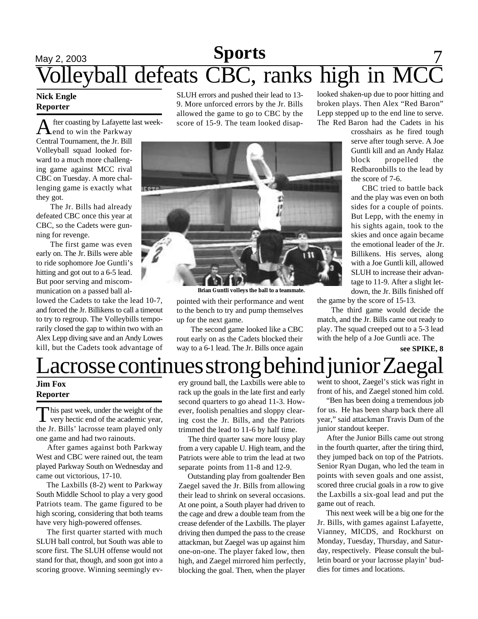## <u>May 2, 2003 **Sports** 7</u> Volleyball defeats CBC, ranks high in MCC **Sports**

### **Nick Engle Reporter**

**A** fter coasting by Lafayette<br>Central Tournament, the Jr. Bill fter coasting by Lafayette last weekend to win the Parkway Volleyball squad looked forward to a much more challenging game against MCC rival CBC on Tuesday. A more challenging game is exactly what they got.

The Jr. Bills had already defeated CBC once this year at CBC, so the Cadets were gunning for revenge.

The first game was even early on. The Jr. Bills were able to ride sophomore Joe Guntli's hitting and got out to a 6-5 lead. But poor serving and miscommunication on a passed ball al-

lowed the Cadets to take the lead 10-7, and forced the Jr. Billikens to call a timeout to try to regroup. The Volleybills temporarily closed the gap to within two with an Alex Lepp diving save and an Andy Lowes kill, but the Cadets took advantage of SLUH errors and pushed their lead to 13- 9. More unforced errors by the Jr. Bills allowed the game to go to CBC by the score of 15-9. The team looked disap-



**Brian Guntli volleys the ball to a teammate.**

pointed with their performance and went to the bench to try and pump themselves up for the next game.

The second game looked like a CBC rout early on as the Cadets blocked their way to a 6-1 lead. The Jr. Bills once again

looked shaken-up due to poor hitting and broken plays. Then Alex "Red Baron" Lepp stepped up to the end line to serve. The Red Baron had the Cadets in his

> crosshairs as he fired tough serve after tough serve. A Joe Guntli kill and an Andy Halaz block propelled the Redbaronbills to the lead by the score of 7-6.

> CBC tried to battle back and the play was even on both sides for a couple of points. But Lepp, with the enemy in his sights again, took to the skies and once again became the emotional leader of the Jr. Billikens. His serves, along with a Joe Guntli kill, allowed SLUH to increase their advantage to 11-9. After a slight letdown, the Jr. Bills finished off

the game by the score of 15-13.

The third game would decide the match, and the Jr. Bills came out ready to play. The squad creeped out to a 5-3 lead with the help of a Joe Guntli ace. The

**see SPIKE, 8**

# acrosse continues strong behind junior Zaegal

### **Jim Fox Reporter**

This past week, under the weight of the very hectic end of the academic year, very hectic end of the academic year, the Jr. Bills' lacrosse team played only one game and had two rainouts.

 After games against both Parkway West and CBC were rained out, the team played Parkway South on Wednesday and came out victorious, 17-10.

 The Laxbills (8-2) went to Parkway South Middle School to play a very good Patriots team. The game figured to be high scoring, considering that both teams have very high-powered offenses.

 The first quarter started with much SLUH ball control, but South was able to score first. The SLUH offense would not stand for that, though, and soon got into a scoring groove. Winning seemingly every ground ball, the Laxbills were able to rack up the goals in the late first and early second quarters to go ahead 11-3. However, foolish penalties and sloppy clearing cost the Jr. Bills, and the Patriots trimmed the lead to 11-6 by half time.

 The third quarter saw more lousy play from a very capable U. High team, and the Patriots were able to trim the lead at two separate points from 11-8 and 12-9.

 Outstanding play from goaltender Ben Zaegel saved the Jr. Bills from allowing their lead to shrink on several occasions. At one point, a South player had driven to the cage and drew a double team from the crease defender of the Laxbills. The player driving then dumped the pass to the crease attackman, but Zaegel was up against him one-on-one. The player faked low, then high, and Zaegel mirrored him perfectly, blocking the goal. Then, when the player went to shoot, Zaegel's stick was right in front of his, and Zaegel stoned him cold.

 "Ben has been doing a tremendous job for us. He has been sharp back there all year," said attackman Travis Dum of the junior standout keeper.

 After the Junior Bills came out strong in the fourth quarter, after the tiring third, they jumped back on top of the Patriots. Senior Ryan Dugan, who led the team in points with seven goals and one assist, scored three crucial goals in a row to give the Laxbills a six-goal lead and put the game out of reach.

 This next week will be a big one for the Jr. Bills, with games against Lafayette, Vianney, MICDS, and Rockhurst on Monday, Tuesday, Thursday, and Saturday, respectively. Please consult the bulletin board or your lacrosse playin' buddies for times and locations.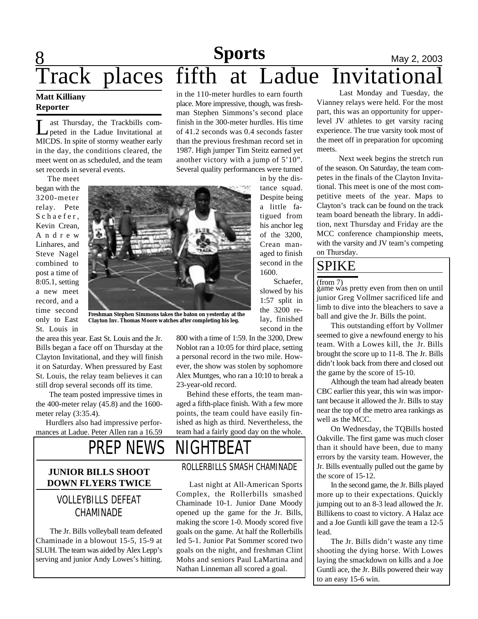# **8 Sports** May 2, 2003 Track places fifth at Ladue Invitationa

### **Matt Killiany Reporter**

Let Thursday, the Trackbills competed in the Ladue Invitational at MICDS. In spite of stormy weather early ast Thursday, the Trackbills competed in the Ladue Invitational at in the day, the conditions cleared, the meet went on as scheduled, and the team set records in several events.

 The meet began with the 3200-meter relay. Pete Schaefer, Kevin Crean, A n d r e w Linhares, and Steve Nagel combined to post a time of 8:05.1, setting a new meet record, and a time second only to East St. Louis in

**Freshman Stephen Simmons takes the baton on yesterday at the Clayton Inv. Thomas Moore watches after completing his leg.**

the area this year. East St. Louis and the Jr. Bills began a face off on Thursday at the Clayton Invitational, and they will finish it on Saturday. When pressured by East St. Louis, the relay team believes it can still drop several seconds off its time.

 The team posted impressive times in the 400-meter relay (45.8) and the 1600 meter relay (3:35.4).

 Hurdlers also had impressive performances at Ladue. Peter Allen ran a 16.59 800 with a time of 1:59. In the 3200, Drew Noblot ran a 10:05 for third place, setting a personal record in the two mile. However, the show was stolen by sophomore Alex Muntges, who ran a 10:10 to break a 23-year-old record.

 Behind these efforts, the team managed a fifth-place finish. With a few more points, the team could have easily finished as high as third. Nevertheless, the team had a fairly good day on the whole.

 Last night at All-American Sports Complex, the Rollerbills smashed Chaminade 10-1. Junior Dane Moody opened up the game for the Jr. Bills, making the score 1-0. Moody scored five goals on the game. At half the Rollerbills led 5-1. Junior Pat Sommer scored two goals on the night, and freshman Clint Mohs and seniors Paul LaMartina and Nathan Linneman all scored a goal.

# *PREP NEWS* NIGHTBEAT

### **IUNIOR BILLS SHOOT ROLLERBILLS SMASH CHAMINADE DOWN FLYERS TWICE**

### VOLLEYBILLS DEFEAT CHAMINADE

The Jr. Bills volleyball team defeated Chaminade in a blowout 15-5, 15-9 at SLUH. The team was aided by Alex Lepp's serving and junior Andy Lowes's hitting.

in the 110-meter hurdles to earn fourth place. More impressive, though, was freshman Stephen Simmons's second place finish in the 300-meter hurdles. His time of 41.2 seconds was 0.4 seconds faster than the previous freshman record set in 1987. High jumper Tim Steitz earned yet another victory with a jump of 5'10". Several quality performances were turned

> in by the distance squad. Despite being a little fatigued from his anchor leg of the 3200, Crean managed to finish second in the 1600.

 Schaefer, slowed by his 1:57 split in the 3200 relay, finished second in the

Last Monday and Tuesday, the Vianney relays were held. For the most part, this was an opportunity for upperlevel JV athletes to get varsity racing experience. The true varsity took most of the meet off in preparation for upcoming meets.

 Next week begins the stretch run of the season. On Saturday, the team competes in the finals of the Clayton Invitational. This meet is one of the most competitive meets of the year. Maps to Clayton's track can be found on the track team board beneath the library. In addition, next Thursday and Friday are the MCC conference championship meets, with the varsity and JV team's competing on Thursday.

## SPIKE

(from 7)

game was pretty even from then on until junior Greg Vollmer sacrificed life and limb to dive into the bleachers to save a ball and give the Jr. Bills the point.

This outstanding effort by Vollmer seemed to give a newfound energy to his team. With a Lowes kill, the Jr. Bills brought the score up to 11-8. The Jr. Bills didn't look back from there and closed out the game by the score of 15-10.

Although the team had already beaten CBC earlier this year, this win was important because it allowed the Jr. Bills to stay near the top of the metro area rankings as well as the MCC.

On Wednesday, the TQBills hosted Oakville. The first game was much closer than it should have been, due to many errors by the varsity team. However, the Jr. Bills eventually pulled out the game by the score of 15-12.

In the second game, the Jr. Bills played more up to their expectations. Quickly jumping out to an 8-3 lead allowed the Jr. Billikens to coast to victory. A Halaz ace and a Joe Guntli kill gave the team a 12-5 lead.

The Jr. Bills didn't waste any time shooting the dying horse. With Lowes laying the smackdown on kills and a Joe Guntli ace, the Jr. Bills powered their way to an easy 15-6 win.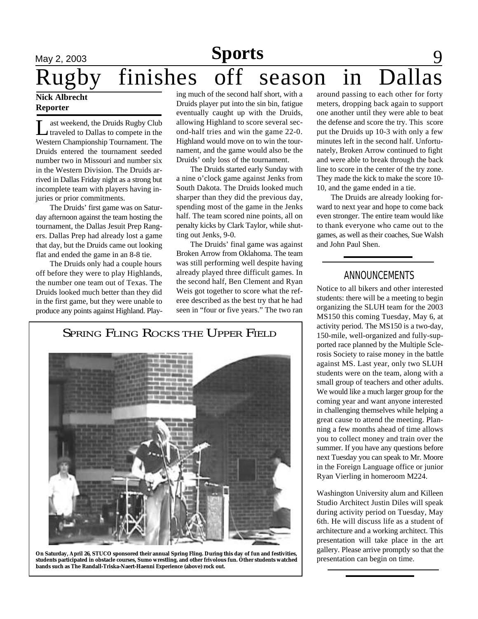## May 2, 2003 **Sports** 9 Rugby finishes off season in Dal **Sports**

### **Nick Albrecht Reporter**

 $\overline{\mathsf{L}}$ ast weekend, the Druids Rugby Club traveled to Dallas to compete in the Western Championship Tournament. The Druids entered the tournament seeded number two in Missouri and number six in the Western Division. The Druids arrived in Dallas Friday night as a strong but incomplete team with players having injuries or prior commitments.

The Druids' first game was on Saturday afternoon against the team hosting the tournament, the Dallas Jesuit Prep Rangers. Dallas Prep had already lost a game that day, but the Druids came out looking flat and ended the game in an 8-8 tie.

The Druids only had a couple hours off before they were to play Highlands, the number one team out of Texas. The Druids looked much better than they did in the first game, but they were unable to produce any points against Highland. Playing much of the second half short, with a Druids player put into the sin bin, fatigue eventually caught up with the Druids, allowing Highland to score several second-half tries and win the game 22-0. Highland would move on to win the tournament, and the game would also be the Druids' only loss of the tournament.

The Druids started early Sunday with a nine o'clock game against Jenks from South Dakota. The Druids looked much sharper than they did the previous day, spending most of the game in the Jenks half. The team scored nine points, all on penalty kicks by Clark Taylor, while shutting out Jenks, 9-0.

The Druids' final game was against Broken Arrow from Oklahoma. The team was still performing well despite having already played three difficult games. In the second half, Ben Clement and Ryan Weis got together to score what the referee described as the best try that he had seen in "four or five years." The two ran

SPRING FLING ROCKS THE UPPER FIELD



**On Saturday, April 26, STUCO sponsored their annual Spring Fling. During this day of fun and festivities, students participated in obstacle courses, Sumo wrestling, and other frivolous fun. Other students watched bands such as The Randall-Triska-Naert-Haenni Experience (above) rock out.**

around passing to each other for forty meters, dropping back again to support one another until they were able to beat the defense and score the try. This score put the Druids up 10-3 with only a few minutes left in the second half. Unfortunately, Broken Arrow continued to fight and were able to break through the back line to score in the center of the try zone. They made the kick to make the score 10- 10, and the game ended in a tie.

The Druids are already looking forward to next year and hope to come back even stronger. The entire team would like to thank everyone who came out to the games, as well as their coaches, Sue Walsh and John Paul Shen.

### ANNOUNCEMENTS

Notice to all bikers and other interested students: there will be a meeting to begin organizing the SLUH team for the 2003 MS150 this coming Tuesday, May 6, at activity period. The MS150 is a two-day, 150-mile, well-organized and fully-supported race planned by the Multiple Sclerosis Society to raise money in the battle against MS. Last year, only two SLUH students were on the team, along with a small group of teachers and other adults. We would like a much larger group for the coming year and want anyone interested in challenging themselves while helping a great cause to attend the meeting. Planning a few months ahead of time allows you to collect money and train over the summer. If you have any questions before next Tuesday you can speak to Mr. Moore in the Foreign Language office or junior Ryan Vierling in homeroom M224.

Washington University alum and Killeen Studio Architect Justin Diles will speak during activity period on Tuesday, May 6th. He will discuss life as a student of architecture and a working architect. This presentation will take place in the art gallery. Please arrive promptly so that the presentation can begin on time.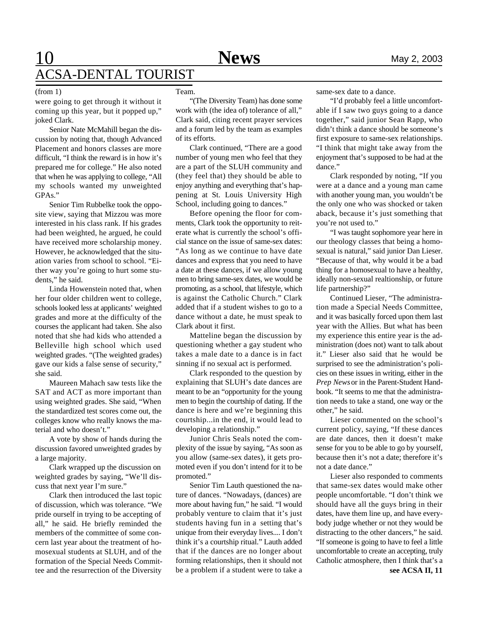#### (from 1)

were going to get through it without it coming up this year, but it popped up," joked Clark.

Senior Nate McMahill began the discussion by noting that, though Advanced Placement and honors classes are more difficult, "I think the reward is in how it's prepared me for college." He also noted that when he was applying to college, "All my schools wanted my unweighted GPAs."

Senior Tim Rubbelke took the opposite view, saying that Mizzou was more interested in his class rank. If his grades had been weighted, he argued, he could have received more scholarship money. However, he acknowledged that the situation varies from school to school. "Either way you're going to hurt some students," he said.

Linda Howenstein noted that, when her four older children went to college, schools looked less at applicants' weighted grades and more at the difficulty of the courses the applicant had taken. She also noted that she had kids who attended a Belleville high school which used weighted grades. "(The weighted grades) gave our kids a false sense of security," she said.

Maureen Mahach saw tests like the SAT and ACT as more important than using weighted grades. She said, "When the standardized test scores come out, the colleges know who really knows the material and who doesn't."

A vote by show of hands during the discussion favored unweighted grades by a large majority.

Clark wrapped up the discussion on weighted grades by saying, "We'll discuss that next year I'm sure."

Clark then introduced the last topic of discussion, which was tolerance. "We pride ourself in trying to be accepting of all," he said. He briefly reminded the members of the committee of some concern last year about the treatment of homosexual students at SLUH, and of the formation of the Special Needs Committee and the resurrection of the Diversity

#### Team.

"(The Diversity Team) has done some work with (the idea of) tolerance of all," Clark said, citing recent prayer services and a forum led by the team as examples of its efforts.

Clark continued, "There are a good number of young men who feel that they are a part of the SLUH community and (they feel that) they should be able to enjoy anything and everything that's happening at St. Louis University High School, including going to dances."

Before opening the floor for comments, Clark took the opportunity to reiterate what is currently the school's official stance on the issue of same-sex dates: "As long as we continue to have date dances and express that you need to have a date at these dances, if we allow young men to bring same-sex dates, we would be promoting, as a school, that lifestyle, which is against the Catholic Church." Clark added that if a student wishes to go to a dance without a date, he must speak to Clark about it first.

Matteline began the discussion by questioning whether a gay student who takes a male date to a dance is in fact sinning if no sexual act is performed.

Clark responded to the question by explaining that SLUH's date dances are meant to be an "opportunity for the young men to begin the courtship of dating. If the dance is here and we're beginning this courtship...in the end, it would lead to developing a relationship."

Junior Chris Seals noted the complexity of the issue by saying, "As soon as you allow (same-sex dates), it gets promoted even if you don't intend for it to be promoted."

Senior Tim Lauth questioned the nature of dances. "Nowadays, (dances) are more about having fun," he said. "I would probably venture to claim that it's just students having fun in a setting that's unique from their everyday lives.... I don't think it's a courtship ritual." Lauth added that if the dances are no longer about forming relationships, then it should not be a problem if a student were to take a

same-sex date to a dance.

"I'd probably feel a little uncomfortable if I saw two guys going to a dance together," said junior Sean Rapp, who didn't think a dance should be someone's first exposure to same-sex relationships. "I think that might take away from the enjoyment that's supposed to be had at the dance."

Clark responded by noting, "If you were at a dance and a young man came with another young man, you wouldn't be the only one who was shocked or taken aback, because it's just something that you're not used to."

"I was taught sophomore year here in our theology classes that being a homosexual is natural," said junior Dan Lieser. "Because of that, why would it be a bad thing for a homosexual to have a healthy, ideally non-sexual realtionship, or future life partnership?"

Continued Lieser, "The administration made a Special Needs Committee, and it was basically forced upon them last year with the Allies. But what has been my experience this entire year is the administration (does not) want to talk about it." Lieser also said that he would be surprised to see the administration's policies on these issues in writing, either in the *Prep News* or in the Parent-Student Handbook. "It seems to me that the administration needs to take a stand, one way or the other," he said.

Lieser commented on the school's current policy, saying, "If these dances are date dances, then it doesn't make sense for you to be able to go by yourself, because then it's not a date; therefore it's not a date dance."

Lieser also responded to comments that same-sex dates would make other people uncomfortable. "I don't think we should have all the guys bring in their dates, have them line up, and have everybody judge whether or not they would be distracting to the other dancers," he said. "If someone is going to have to feel a little uncomfortable to create an accepting, truly Catholic atmosphere, then I think that's a **see ACSA II, 11**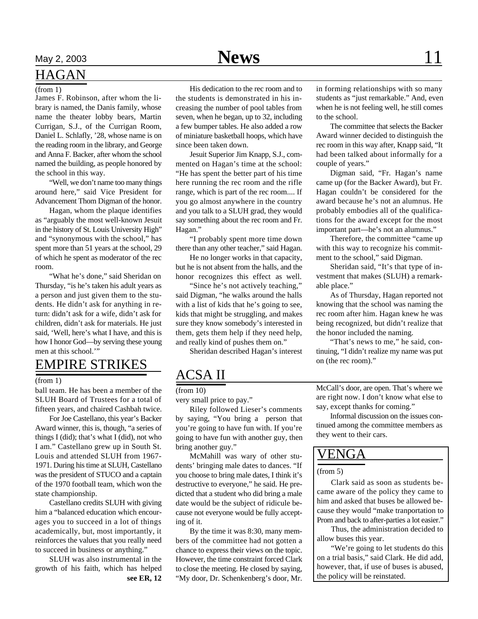### HAGAN

James F. Robinson, after whom the library is named, the Danis family, whose name the theater lobby bears, Martin Currigan, S.J., of the Currigan Room, Daniel L. Schlafly, '28, whose name is on the reading room in the library, and George and Anna F. Backer, after whom the school named the building, as people honored by the school in this way.

"Well, we don't name too many things around here," said Vice President for Advancement Thom Digman of the honor.

Hagan, whom the plaque identifies as "arguably the most well-known Jesuit in the history of St. Louis University High" and "synonymous with the school," has spent more than 51 years at the school, 29 of which he spent as moderator of the rec room.

"What he's done," said Sheridan on Thursday, "is he's taken his adult years as a person and just given them to the students. He didn't ask for anything in return: didn't ask for a wife, didn't ask for children, didn't ask for materials. He just said, 'Well, here's what I have, and this is how I honor God—by serving these young men at this school.'"

### EMPIRE STRIKES

### (from 1)

ball team. He has been a member of the SLUH Board of Trustees for a total of fifteen years, and chaired Cashbah twice.

For Joe Castellano, this year's Backer Award winner, this is, though, "a series of things I (did); that's what I (did), not who I am." Castellano grew up in South St. Louis and attended SLUH from 1967- 1971. During his time at SLUH, Castellano was the president of STUCO and a captain of the 1970 football team, which won the state championship.

Castellano credits SLUH with giving him a "balanced education which encourages you to succeed in a lot of things academically, but, most importantly, it reinforces the values that you really need to succeed in business or anything."

SLUH was also instrumental in the growth of his faith, which has helped **see ER, 12**

His dedication to the rec room and to the students is demonstrated in his increasing the number of pool tables from seven, when he began, up to 32, including a few bumper tables. He also added a row of miniature basketball hoops, which have since been taken down. (from 1) in forming relationships with so many his dedication to the rec room and to in forming relationships with so many

> Jesuit Superior Jim Knapp, S.J., commented on Hagan's time at the school: "He has spent the better part of his time here running the rec room and the rifle range, which is part of the rec room.... If you go almost anywhere in the country and you talk to a SLUH grad, they would say something about the rec room and Fr. Hagan."

> "I probably spent more time down there than any other teacher," said Hagan.

> He no longer works in that capacity, but he is not absent from the halls, and the honor recognizes this effect as well.

> "Since he's not actively teaching," said Digman, "he walks around the halls with a list of kids that he's going to see, kids that might be struggling, and makes sure they know somebody's interested in them, gets them help if they need help, and really kind of pushes them on."

> > Sheridan described Hagan's interest

## ACSA II

very small price to pay."

Riley followed Lieser's comments by saying, "You bring a person that you're going to have fun with. If you're going to have fun with another guy, then bring another guy."

McMahill was wary of other students' bringing male dates to dances. "If you choose to bring male dates, I think it's destructive to everyone," he said. He predicted that a student who did bring a male date would be the subject of ridicule because not everyone would be fully accepting of it.

By the time it was 8:30, many members of the committee had not gotten a chance to express their views on the topic. However, the time constraint forced Clark to close the meeting. He closed by saying, "My door, Dr. Schenkenberg's door, Mr.

students as "just remarkable." And, even when he is not feeling well, he still comes to the school.

The committee that selects the Backer Award winner decided to distinguish the rec room in this way after, Knapp said, "It had been talked about informally for a couple of years."

Digman said, "Fr. Hagan's name came up (for the Backer Award), but Fr. Hagan couldn't be considered for the award because he's not an alumnus. He probably embodies all of the qualifications for the award except for the most important part—he's not an alumnus."

Therefore, the committee "came up with this way to recognize his commitment to the school," said Digman.

Sheridan said, "It's that type of investment that makes (SLUH) a remarkable place."

As of Thursday, Hagan reported not knowing that the school was naming the rec room after him. Hagan knew he was being recognized, but didn't realize that the honor included the naming.

"That's news to me," he said, continuing, "I didn't realize my name was put on (the rec room)."

(from 10) McCall's door, are open. That's where we are right now. I don't know what else to say, except thanks for coming."

> Informal discussion on the issues continued among the committee members as they went to their cars.

### VENGA

#### $(from 5)$

Clark said as soon as students became aware of the policy they came to him and asked that buses be allowed because they would "make tranportation to Prom and back to after-parties a lot easier."

Thus, the administration decided to allow buses this year.

"We're going to let students do this on a trial basis," said Clark. He did add, however, that, if use of buses is abused, the policy will be reinstated.